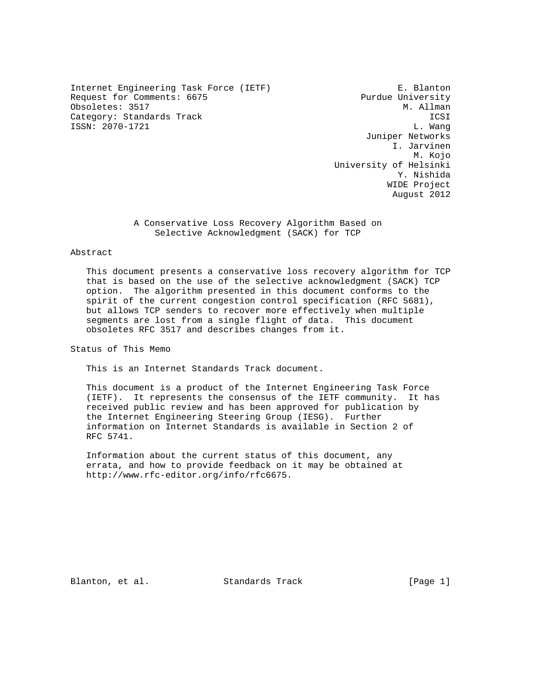Internet Engineering Task Force (IETF) E. Blanton Request for Comments: 6675 Purdue University Obsoletes: 3517 M. Allman Category: Standards Track ICSI<br>ISSN: 2070-1721 L. Wang ISSN: 2070-1721

 Juniper Networks I. Jarvinen M. Kojo University of Helsinki Y. Nishida WIDE Project August 2012

> A Conservative Loss Recovery Algorithm Based on Selective Acknowledgment (SACK) for TCP

## Abstract

 This document presents a conservative loss recovery algorithm for TCP that is based on the use of the selective acknowledgment (SACK) TCP option. The algorithm presented in this document conforms to the spirit of the current congestion control specification (RFC 5681), but allows TCP senders to recover more effectively when multiple segments are lost from a single flight of data. This document obsoletes RFC 3517 and describes changes from it.

Status of This Memo

This is an Internet Standards Track document.

 This document is a product of the Internet Engineering Task Force (IETF). It represents the consensus of the IETF community. It has received public review and has been approved for publication by the Internet Engineering Steering Group (IESG). Further information on Internet Standards is available in Section 2 of RFC 5741.

 Information about the current status of this document, any errata, and how to provide feedback on it may be obtained at http://www.rfc-editor.org/info/rfc6675.

Blanton, et al. Standards Track [Page 1]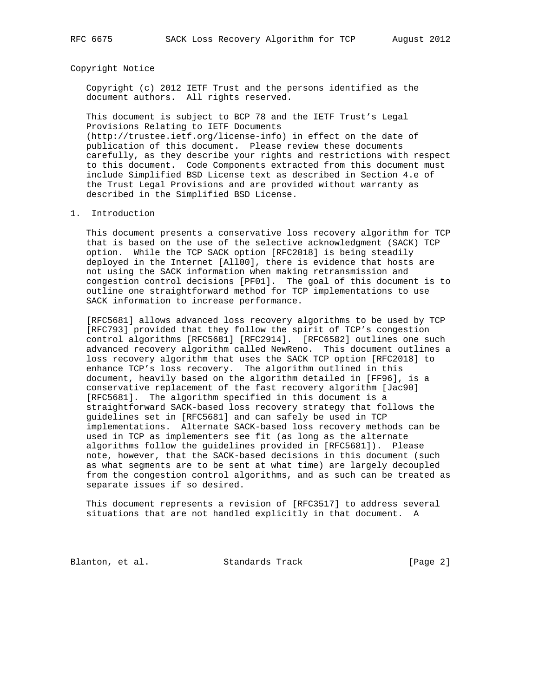## Copyright Notice

 Copyright (c) 2012 IETF Trust and the persons identified as the document authors. All rights reserved.

 This document is subject to BCP 78 and the IETF Trust's Legal Provisions Relating to IETF Documents (http://trustee.ietf.org/license-info) in effect on the date of publication of this document. Please review these documents carefully, as they describe your rights and restrictions with respect to this document. Code Components extracted from this document must include Simplified BSD License text as described in Section 4.e of the Trust Legal Provisions and are provided without warranty as described in the Simplified BSD License.

### 1. Introduction

 This document presents a conservative loss recovery algorithm for TCP that is based on the use of the selective acknowledgment (SACK) TCP option. While the TCP SACK option [RFC2018] is being steadily deployed in the Internet [All00], there is evidence that hosts are not using the SACK information when making retransmission and congestion control decisions [PF01]. The goal of this document is to outline one straightforward method for TCP implementations to use SACK information to increase performance.

 [RFC5681] allows advanced loss recovery algorithms to be used by TCP [RFC793] provided that they follow the spirit of TCP's congestion control algorithms [RFC5681] [RFC2914]. [RFC6582] outlines one such advanced recovery algorithm called NewReno. This document outlines a loss recovery algorithm that uses the SACK TCP option [RFC2018] to enhance TCP's loss recovery. The algorithm outlined in this document, heavily based on the algorithm detailed in [FF96], is a conservative replacement of the fast recovery algorithm [Jac90] [RFC5681]. The algorithm specified in this document is a straightforward SACK-based loss recovery strategy that follows the guidelines set in [RFC5681] and can safely be used in TCP implementations. Alternate SACK-based loss recovery methods can be used in TCP as implementers see fit (as long as the alternate algorithms follow the guidelines provided in [RFC5681]). Please note, however, that the SACK-based decisions in this document (such as what segments are to be sent at what time) are largely decoupled from the congestion control algorithms, and as such can be treated as separate issues if so desired.

 This document represents a revision of [RFC3517] to address several situations that are not handled explicitly in that document. A

Blanton, et al. Standards Track [Page 2]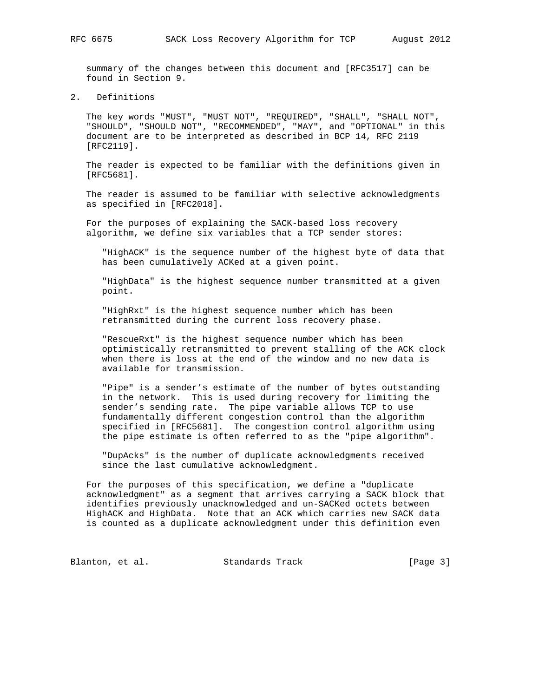summary of the changes between this document and [RFC3517] can be found in Section 9.

2. Definitions

 The key words "MUST", "MUST NOT", "REQUIRED", "SHALL", "SHALL NOT", "SHOULD", "SHOULD NOT", "RECOMMENDED", "MAY", and "OPTIONAL" in this document are to be interpreted as described in BCP 14, RFC 2119 [RFC2119].

 The reader is expected to be familiar with the definitions given in [RFC5681].

 The reader is assumed to be familiar with selective acknowledgments as specified in [RFC2018].

 For the purposes of explaining the SACK-based loss recovery algorithm, we define six variables that a TCP sender stores:

 "HighACK" is the sequence number of the highest byte of data that has been cumulatively ACKed at a given point.

 "HighData" is the highest sequence number transmitted at a given point.

 "HighRxt" is the highest sequence number which has been retransmitted during the current loss recovery phase.

 "RescueRxt" is the highest sequence number which has been optimistically retransmitted to prevent stalling of the ACK clock when there is loss at the end of the window and no new data is available for transmission.

 "Pipe" is a sender's estimate of the number of bytes outstanding in the network. This is used during recovery for limiting the sender's sending rate. The pipe variable allows TCP to use fundamentally different congestion control than the algorithm specified in [RFC5681]. The congestion control algorithm using the pipe estimate is often referred to as the "pipe algorithm".

 "DupAcks" is the number of duplicate acknowledgments received since the last cumulative acknowledgment.

 For the purposes of this specification, we define a "duplicate acknowledgment" as a segment that arrives carrying a SACK block that identifies previously unacknowledged and un-SACKed octets between HighACK and HighData. Note that an ACK which carries new SACK data is counted as a duplicate acknowledgment under this definition even

Blanton, et al. Standards Track [Page 3]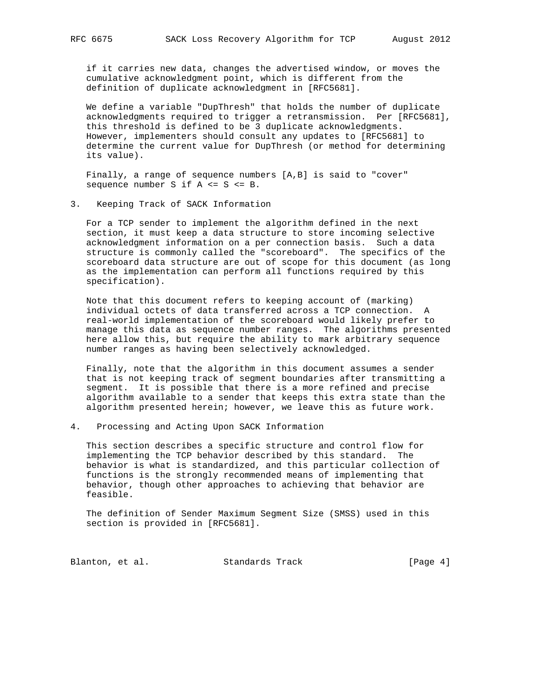if it carries new data, changes the advertised window, or moves the cumulative acknowledgment point, which is different from the definition of duplicate acknowledgment in [RFC5681].

 We define a variable "DupThresh" that holds the number of duplicate acknowledgments required to trigger a retransmission. Per [RFC5681], this threshold is defined to be 3 duplicate acknowledgments. However, implementers should consult any updates to [RFC5681] to determine the current value for DupThresh (or method for determining its value).

 Finally, a range of sequence numbers [A,B] is said to "cover" sequence number S if A <= S <= B.

3. Keeping Track of SACK Information

 For a TCP sender to implement the algorithm defined in the next section, it must keep a data structure to store incoming selective acknowledgment information on a per connection basis. Such a data structure is commonly called the "scoreboard". The specifics of the scoreboard data structure are out of scope for this document (as long as the implementation can perform all functions required by this specification).

 Note that this document refers to keeping account of (marking) individual octets of data transferred across a TCP connection. A real-world implementation of the scoreboard would likely prefer to manage this data as sequence number ranges. The algorithms presented here allow this, but require the ability to mark arbitrary sequence number ranges as having been selectively acknowledged.

 Finally, note that the algorithm in this document assumes a sender that is not keeping track of segment boundaries after transmitting a segment. It is possible that there is a more refined and precise algorithm available to a sender that keeps this extra state than the algorithm presented herein; however, we leave this as future work.

4. Processing and Acting Upon SACK Information

 This section describes a specific structure and control flow for implementing the TCP behavior described by this standard. The behavior is what is standardized, and this particular collection of functions is the strongly recommended means of implementing that behavior, though other approaches to achieving that behavior are feasible.

 The definition of Sender Maximum Segment Size (SMSS) used in this section is provided in [RFC5681].

Blanton, et al. Standards Track [Page 4]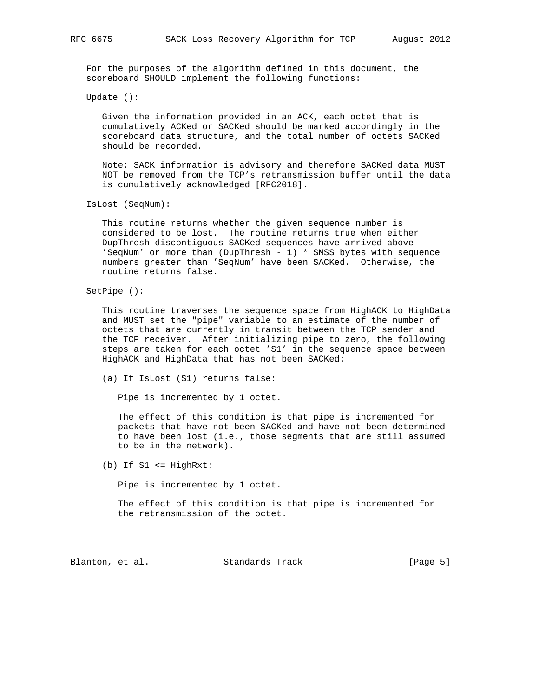For the purposes of the algorithm defined in this document, the scoreboard SHOULD implement the following functions:

Update ():

 Given the information provided in an ACK, each octet that is cumulatively ACKed or SACKed should be marked accordingly in the scoreboard data structure, and the total number of octets SACKed should be recorded.

 Note: SACK information is advisory and therefore SACKed data MUST NOT be removed from the TCP's retransmission buffer until the data is cumulatively acknowledged [RFC2018].

IsLost (SeqNum):

 This routine returns whether the given sequence number is considered to be lost. The routine returns true when either DupThresh discontiguous SACKed sequences have arrived above 'SeqNum' or more than (DupThresh - 1)  $*$  SMSS bytes with sequence numbers greater than 'SeqNum' have been SACKed. Otherwise, the routine returns false.

SetPipe ():

 This routine traverses the sequence space from HighACK to HighData and MUST set the "pipe" variable to an estimate of the number of octets that are currently in transit between the TCP sender and the TCP receiver. After initializing pipe to zero, the following steps are taken for each octet 'S1' in the sequence space between HighACK and HighData that has not been SACKed:

(a) If IsLost (S1) returns false:

Pipe is incremented by 1 octet.

 The effect of this condition is that pipe is incremented for packets that have not been SACKed and have not been determined to have been lost (i.e., those segments that are still assumed to be in the network).

(b) If S1 <= HighRxt:

Pipe is incremented by 1 octet.

 The effect of this condition is that pipe is incremented for the retransmission of the octet.

Blanton, et al. Standards Track [Page 5]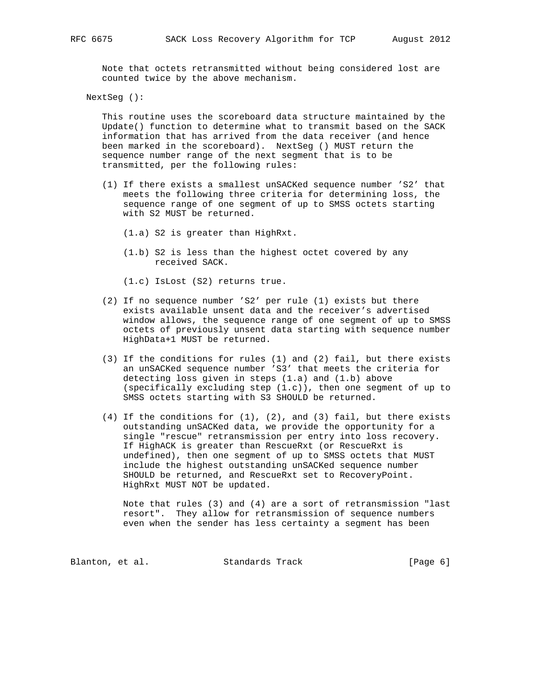Note that octets retransmitted without being considered lost are counted twice by the above mechanism.

NextSeg ():

 This routine uses the scoreboard data structure maintained by the Update() function to determine what to transmit based on the SACK information that has arrived from the data receiver (and hence been marked in the scoreboard). NextSeg () MUST return the sequence number range of the next segment that is to be transmitted, per the following rules:

 (1) If there exists a smallest unSACKed sequence number 'S2' that meets the following three criteria for determining loss, the sequence range of one segment of up to SMSS octets starting with S2 MUST be returned.

(1.a) S2 is greater than HighRxt.

- (1.b) S2 is less than the highest octet covered by any received SACK.
- (1.c) IsLost (S2) returns true.
- (2) If no sequence number 'S2' per rule (1) exists but there exists available unsent data and the receiver's advertised window allows, the sequence range of one segment of up to SMSS octets of previously unsent data starting with sequence number HighData+1 MUST be returned.
- (3) If the conditions for rules (1) and (2) fail, but there exists an unSACKed sequence number 'S3' that meets the criteria for detecting loss given in steps (1.a) and (1.b) above (specifically excluding step (1.c)), then one segment of up to SMSS octets starting with S3 SHOULD be returned.
- (4) If the conditions for (1), (2), and (3) fail, but there exists outstanding unSACKed data, we provide the opportunity for a single "rescue" retransmission per entry into loss recovery. If HighACK is greater than RescueRxt (or RescueRxt is undefined), then one segment of up to SMSS octets that MUST include the highest outstanding unSACKed sequence number SHOULD be returned, and RescueRxt set to RecoveryPoint. HighRxt MUST NOT be updated.

 Note that rules (3) and (4) are a sort of retransmission "last resort". They allow for retransmission of sequence numbers even when the sender has less certainty a segment has been

Blanton, et al. Standards Track [Page 6]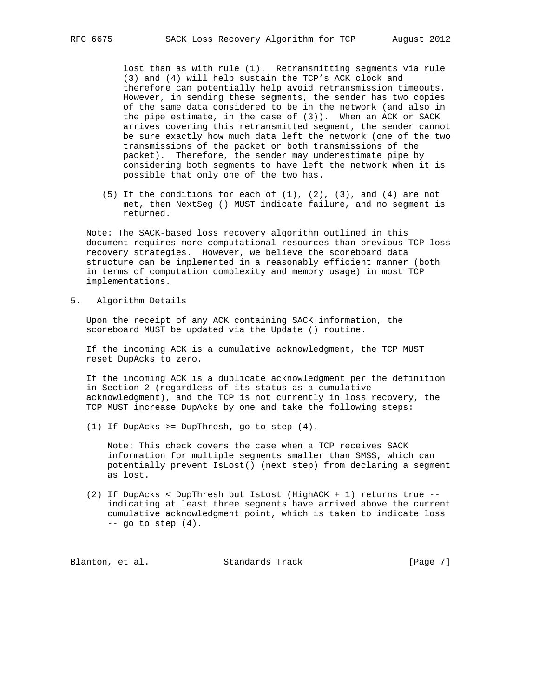lost than as with rule (1). Retransmitting segments via rule (3) and (4) will help sustain the TCP's ACK clock and therefore can potentially help avoid retransmission timeouts. However, in sending these segments, the sender has two copies of the same data considered to be in the network (and also in the pipe estimate, in the case of (3)). When an ACK or SACK arrives covering this retransmitted segment, the sender cannot be sure exactly how much data left the network (one of the two transmissions of the packet or both transmissions of the packet). Therefore, the sender may underestimate pipe by considering both segments to have left the network when it is possible that only one of the two has.

(5) If the conditions for each of  $(1)$ ,  $(2)$ ,  $(3)$ , and  $(4)$  are not met, then NextSeg () MUST indicate failure, and no segment is returned.

 Note: The SACK-based loss recovery algorithm outlined in this document requires more computational resources than previous TCP loss recovery strategies. However, we believe the scoreboard data structure can be implemented in a reasonably efficient manner (both in terms of computation complexity and memory usage) in most TCP implementations.

5. Algorithm Details

 Upon the receipt of any ACK containing SACK information, the scoreboard MUST be updated via the Update () routine.

 If the incoming ACK is a cumulative acknowledgment, the TCP MUST reset DupAcks to zero.

 If the incoming ACK is a duplicate acknowledgment per the definition in Section 2 (regardless of its status as a cumulative acknowledgment), and the TCP is not currently in loss recovery, the TCP MUST increase DupAcks by one and take the following steps:

(1) If DupAcks >= DupThresh, go to step (4).

 Note: This check covers the case when a TCP receives SACK information for multiple segments smaller than SMSS, which can potentially prevent IsLost() (next step) from declaring a segment as lost.

 (2) If DupAcks < DupThresh but IsLost (HighACK + 1) returns true - indicating at least three segments have arrived above the current cumulative acknowledgment point, which is taken to indicate loss  $--$  go to step  $(4)$ .

Blanton, et al. Standards Track [Page 7]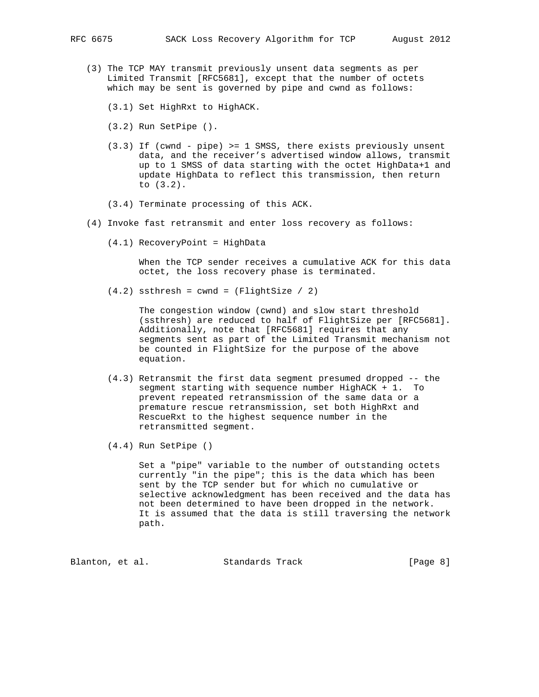- (3) The TCP MAY transmit previously unsent data segments as per Limited Transmit [RFC5681], except that the number of octets which may be sent is governed by pipe and cwnd as follows:
	- (3.1) Set HighRxt to HighACK.
	- (3.2) Run SetPipe ().
	- (3.3) If (cwnd pipe) >= 1 SMSS, there exists previously unsent data, and the receiver's advertised window allows, transmit up to 1 SMSS of data starting with the octet HighData+1 and update HighData to reflect this transmission, then return to (3.2).
	- (3.4) Terminate processing of this ACK.
- (4) Invoke fast retransmit and enter loss recovery as follows:
	- (4.1) RecoveryPoint = HighData

 When the TCP sender receives a cumulative ACK for this data octet, the loss recovery phase is terminated.

 $(4.2)$  ssthresh = cwnd =  $(FlightSize / 2)$ 

 The congestion window (cwnd) and slow start threshold (ssthresh) are reduced to half of FlightSize per [RFC5681]. Additionally, note that [RFC5681] requires that any segments sent as part of the Limited Transmit mechanism not be counted in FlightSize for the purpose of the above equation.

- (4.3) Retransmit the first data segment presumed dropped -- the segment starting with sequence number HighACK + 1. To prevent repeated retransmission of the same data or a premature rescue retransmission, set both HighRxt and RescueRxt to the highest sequence number in the retransmitted segment.
- (4.4) Run SetPipe ()

 Set a "pipe" variable to the number of outstanding octets currently "in the pipe"; this is the data which has been sent by the TCP sender but for which no cumulative or selective acknowledgment has been received and the data has not been determined to have been dropped in the network. It is assumed that the data is still traversing the network path.

Blanton, et al. Standards Track [Page 8]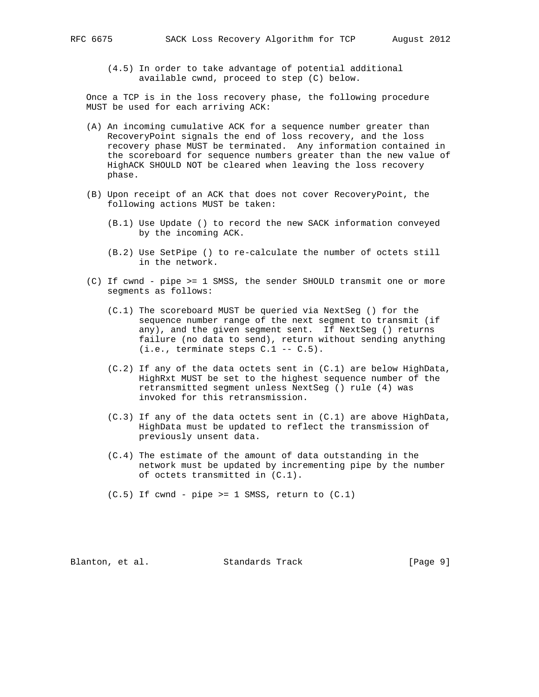(4.5) In order to take advantage of potential additional available cwnd, proceed to step (C) below.

 Once a TCP is in the loss recovery phase, the following procedure MUST be used for each arriving ACK:

- (A) An incoming cumulative ACK for a sequence number greater than RecoveryPoint signals the end of loss recovery, and the loss recovery phase MUST be terminated. Any information contained in the scoreboard for sequence numbers greater than the new value of HighACK SHOULD NOT be cleared when leaving the loss recovery phase.
- (B) Upon receipt of an ACK that does not cover RecoveryPoint, the following actions MUST be taken:
	- (B.1) Use Update () to record the new SACK information conveyed by the incoming ACK.
	- (B.2) Use SetPipe () to re-calculate the number of octets still in the network.
- (C) If cwnd pipe >= 1 SMSS, the sender SHOULD transmit one or more segments as follows:
	- (C.1) The scoreboard MUST be queried via NextSeg () for the sequence number range of the next segment to transmit (if any), and the given segment sent. If NextSeg () returns failure (no data to send), return without sending anything  $(i.e.,$  terminate steps  $C.1$  --  $C.5$ ).
	- (C.2) If any of the data octets sent in (C.1) are below HighData, HighRxt MUST be set to the highest sequence number of the retransmitted segment unless NextSeg () rule (4) was invoked for this retransmission.
	- (C.3) If any of the data octets sent in (C.1) are above HighData, HighData must be updated to reflect the transmission of previously unsent data.
	- (C.4) The estimate of the amount of data outstanding in the network must be updated by incrementing pipe by the number of octets transmitted in (C.1).

 $(C.5)$  If cwnd - pipe >= 1 SMSS, return to  $(C.1)$ 

Blanton, et al. Standards Track [Page 9]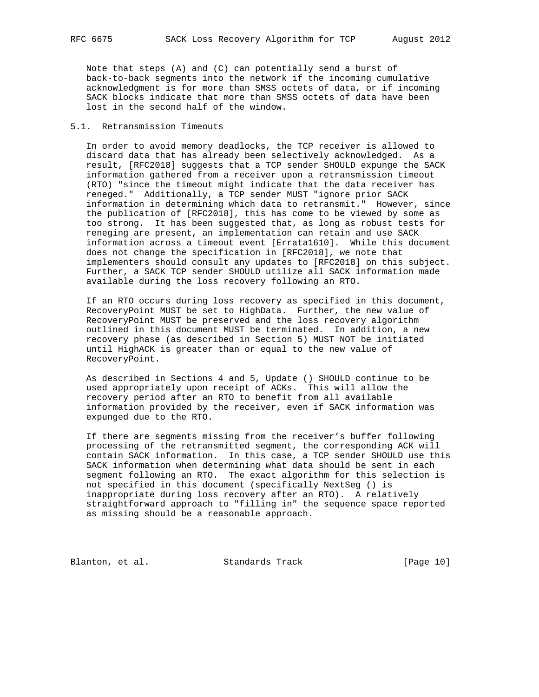Note that steps (A) and (C) can potentially send a burst of back-to-back segments into the network if the incoming cumulative acknowledgment is for more than SMSS octets of data, or if incoming SACK blocks indicate that more than SMSS octets of data have been lost in the second half of the window.

# 5.1. Retransmission Timeouts

 In order to avoid memory deadlocks, the TCP receiver is allowed to discard data that has already been selectively acknowledged. As a result, [RFC2018] suggests that a TCP sender SHOULD expunge the SACK information gathered from a receiver upon a retransmission timeout (RTO) "since the timeout might indicate that the data receiver has reneged." Additionally, a TCP sender MUST "ignore prior SACK information in determining which data to retransmit." However, since the publication of [RFC2018], this has come to be viewed by some as too strong. It has been suggested that, as long as robust tests for reneging are present, an implementation can retain and use SACK information across a timeout event [Errata1610]. While this document does not change the specification in [RFC2018], we note that implementers should consult any updates to [RFC2018] on this subject. Further, a SACK TCP sender SHOULD utilize all SACK information made available during the loss recovery following an RTO.

 If an RTO occurs during loss recovery as specified in this document, RecoveryPoint MUST be set to HighData. Further, the new value of RecoveryPoint MUST be preserved and the loss recovery algorithm outlined in this document MUST be terminated. In addition, a new recovery phase (as described in Section 5) MUST NOT be initiated until HighACK is greater than or equal to the new value of RecoveryPoint.

 As described in Sections 4 and 5, Update () SHOULD continue to be used appropriately upon receipt of ACKs. This will allow the recovery period after an RTO to benefit from all available information provided by the receiver, even if SACK information was expunged due to the RTO.

 If there are segments missing from the receiver's buffer following processing of the retransmitted segment, the corresponding ACK will contain SACK information. In this case, a TCP sender SHOULD use this SACK information when determining what data should be sent in each segment following an RTO. The exact algorithm for this selection is not specified in this document (specifically NextSeg () is inappropriate during loss recovery after an RTO). A relatively straightforward approach to "filling in" the sequence space reported as missing should be a reasonable approach.

Blanton, et al. Standards Track [Page 10]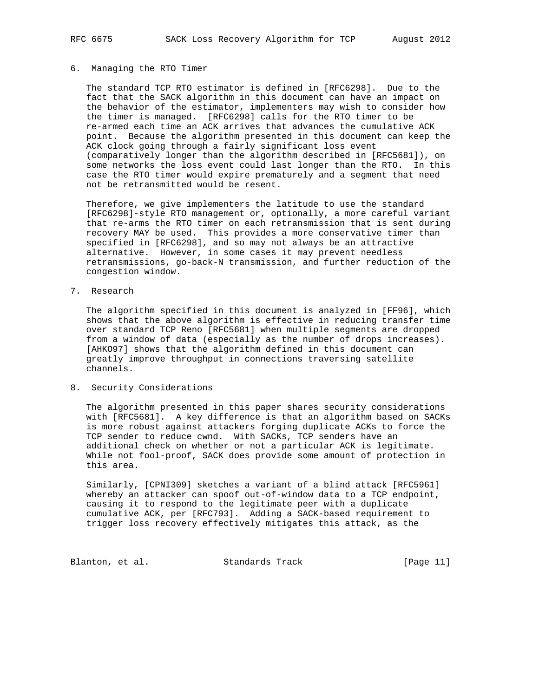## 6. Managing the RTO Timer

 The standard TCP RTO estimator is defined in [RFC6298]. Due to the fact that the SACK algorithm in this document can have an impact on the behavior of the estimator, implementers may wish to consider how the timer is managed. [RFC6298] calls for the RTO timer to be re-armed each time an ACK arrives that advances the cumulative ACK point. Because the algorithm presented in this document can keep the ACK clock going through a fairly significant loss event (comparatively longer than the algorithm described in [RFC5681]), on some networks the loss event could last longer than the RTO. In this case the RTO timer would expire prematurely and a segment that need not be retransmitted would be resent.

 Therefore, we give implementers the latitude to use the standard [RFC6298]-style RTO management or, optionally, a more careful variant that re-arms the RTO timer on each retransmission that is sent during recovery MAY be used. This provides a more conservative timer than specified in [RFC6298], and so may not always be an attractive alternative. However, in some cases it may prevent needless retransmissions, go-back-N transmission, and further reduction of the congestion window.

7. Research

 The algorithm specified in this document is analyzed in [FF96], which shows that the above algorithm is effective in reducing transfer time over standard TCP Reno [RFC5681] when multiple segments are dropped from a window of data (especially as the number of drops increases). [AHKO97] shows that the algorithm defined in this document can greatly improve throughput in connections traversing satellite channels.

## 8. Security Considerations

 The algorithm presented in this paper shares security considerations with [RFC5681]. A key difference is that an algorithm based on SACKs is more robust against attackers forging duplicate ACKs to force the TCP sender to reduce cwnd. With SACKs, TCP senders have an additional check on whether or not a particular ACK is legitimate. While not fool-proof, SACK does provide some amount of protection in this area.

 Similarly, [CPNI309] sketches a variant of a blind attack [RFC5961] whereby an attacker can spoof out-of-window data to a TCP endpoint, causing it to respond to the legitimate peer with a duplicate cumulative ACK, per [RFC793]. Adding a SACK-based requirement to trigger loss recovery effectively mitigates this attack, as the

Blanton, et al. Standards Track [Page 11]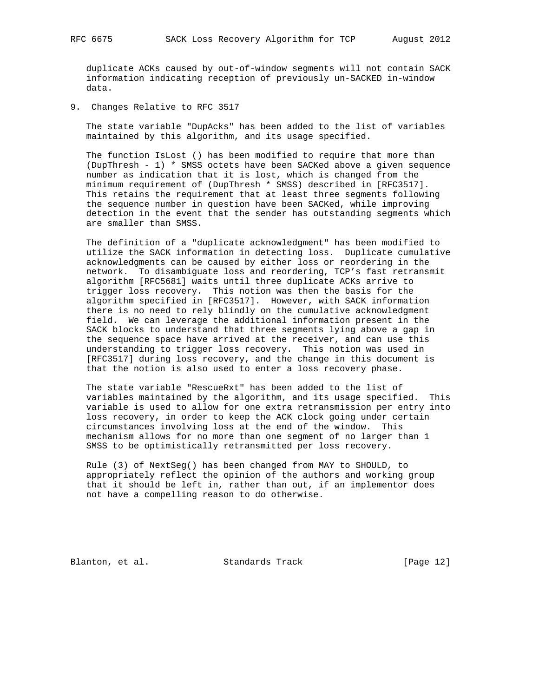duplicate ACKs caused by out-of-window segments will not contain SACK information indicating reception of previously un-SACKED in-window data.

9. Changes Relative to RFC 3517

 The state variable "DupAcks" has been added to the list of variables maintained by this algorithm, and its usage specified.

 The function IsLost () has been modified to require that more than (DupThresh - 1) \* SMSS octets have been SACKed above a given sequence number as indication that it is lost, which is changed from the minimum requirement of (DupThresh \* SMSS) described in [RFC3517]. This retains the requirement that at least three segments following the sequence number in question have been SACKed, while improving detection in the event that the sender has outstanding segments which are smaller than SMSS.

 The definition of a "duplicate acknowledgment" has been modified to utilize the SACK information in detecting loss. Duplicate cumulative acknowledgments can be caused by either loss or reordering in the network. To disambiguate loss and reordering, TCP's fast retransmit algorithm [RFC5681] waits until three duplicate ACKs arrive to trigger loss recovery. This notion was then the basis for the algorithm specified in [RFC3517]. However, with SACK information there is no need to rely blindly on the cumulative acknowledgment field. We can leverage the additional information present in the SACK blocks to understand that three segments lying above a gap in the sequence space have arrived at the receiver, and can use this understanding to trigger loss recovery. This notion was used in [RFC3517] during loss recovery, and the change in this document is that the notion is also used to enter a loss recovery phase.

 The state variable "RescueRxt" has been added to the list of variables maintained by the algorithm, and its usage specified. This variable is used to allow for one extra retransmission per entry into loss recovery, in order to keep the ACK clock going under certain circumstances involving loss at the end of the window. This mechanism allows for no more than one segment of no larger than 1 SMSS to be optimistically retransmitted per loss recovery.

 Rule (3) of NextSeg() has been changed from MAY to SHOULD, to appropriately reflect the opinion of the authors and working group that it should be left in, rather than out, if an implementor does not have a compelling reason to do otherwise.

Blanton, et al. Standards Track [Page 12]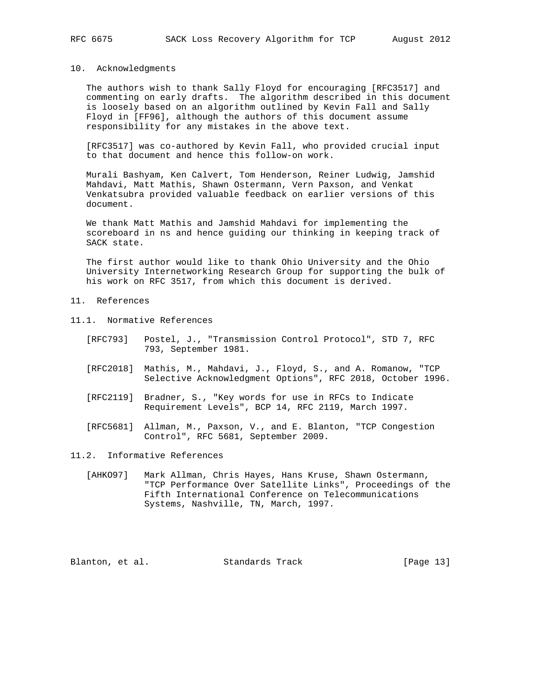### 10. Acknowledgments

 The authors wish to thank Sally Floyd for encouraging [RFC3517] and commenting on early drafts. The algorithm described in this document is loosely based on an algorithm outlined by Kevin Fall and Sally Floyd in [FF96], although the authors of this document assume responsibility for any mistakes in the above text.

 [RFC3517] was co-authored by Kevin Fall, who provided crucial input to that document and hence this follow-on work.

 Murali Bashyam, Ken Calvert, Tom Henderson, Reiner Ludwig, Jamshid Mahdavi, Matt Mathis, Shawn Ostermann, Vern Paxson, and Venkat Venkatsubra provided valuable feedback on earlier versions of this document.

 We thank Matt Mathis and Jamshid Mahdavi for implementing the scoreboard in ns and hence guiding our thinking in keeping track of SACK state.

 The first author would like to thank Ohio University and the Ohio University Internetworking Research Group for supporting the bulk of his work on RFC 3517, from which this document is derived.

- 11. References
- 11.1. Normative References
	- [RFC793] Postel, J., "Transmission Control Protocol", STD 7, RFC 793, September 1981.
	- [RFC2018] Mathis, M., Mahdavi, J., Floyd, S., and A. Romanow, "TCP Selective Acknowledgment Options", RFC 2018, October 1996.
	- [RFC2119] Bradner, S., "Key words for use in RFCs to Indicate Requirement Levels", BCP 14, RFC 2119, March 1997.
- [RFC5681] Allman, M., Paxson, V., and E. Blanton, "TCP Congestion Control", RFC 5681, September 2009.

11.2. Informative References

 [AHKO97] Mark Allman, Chris Hayes, Hans Kruse, Shawn Ostermann, "TCP Performance Over Satellite Links", Proceedings of the Fifth International Conference on Telecommunications Systems, Nashville, TN, March, 1997.

Blanton, et al. Standards Track [Page 13]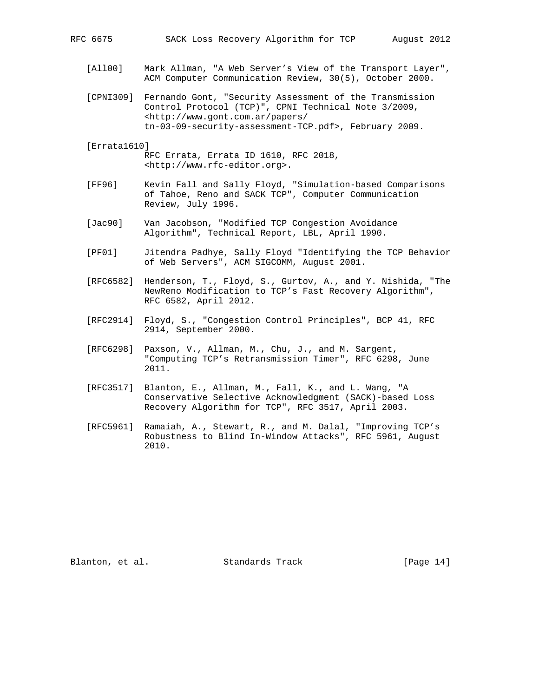- [All00] Mark Allman, "A Web Server's View of the Transport Layer", ACM Computer Communication Review, 30(5), October 2000.
- [CPNI309] Fernando Gont, "Security Assessment of the Transmission Control Protocol (TCP)", CPNI Technical Note 3/2009, <http://www.gont.com.ar/papers/ tn-03-09-security-assessment-TCP.pdf>, February 2009.
- [Errata1610]
	- RFC Errata, Errata ID 1610, RFC 2018, <http://www.rfc-editor.org>.
- [FF96] Kevin Fall and Sally Floyd, "Simulation-based Comparisons of Tahoe, Reno and SACK TCP", Computer Communication Review, July 1996.
- [Jac90] Van Jacobson, "Modified TCP Congestion Avoidance Algorithm", Technical Report, LBL, April 1990.
- [PF01] Jitendra Padhye, Sally Floyd "Identifying the TCP Behavior of Web Servers", ACM SIGCOMM, August 2001.
- [RFC6582] Henderson, T., Floyd, S., Gurtov, A., and Y. Nishida, "The NewReno Modification to TCP's Fast Recovery Algorithm", RFC 6582, April 2012.
- [RFC2914] Floyd, S., "Congestion Control Principles", BCP 41, RFC 2914, September 2000.
- [RFC6298] Paxson, V., Allman, M., Chu, J., and M. Sargent, "Computing TCP's Retransmission Timer", RFC 6298, June 2011.
- [RFC3517] Blanton, E., Allman, M., Fall, K., and L. Wang, "A Conservative Selective Acknowledgment (SACK)-based Loss Recovery Algorithm for TCP", RFC 3517, April 2003.
- [RFC5961] Ramaiah, A., Stewart, R., and M. Dalal, "Improving TCP's Robustness to Blind In-Window Attacks", RFC 5961, August 2010.

Blanton, et al. Standards Track [Page 14]